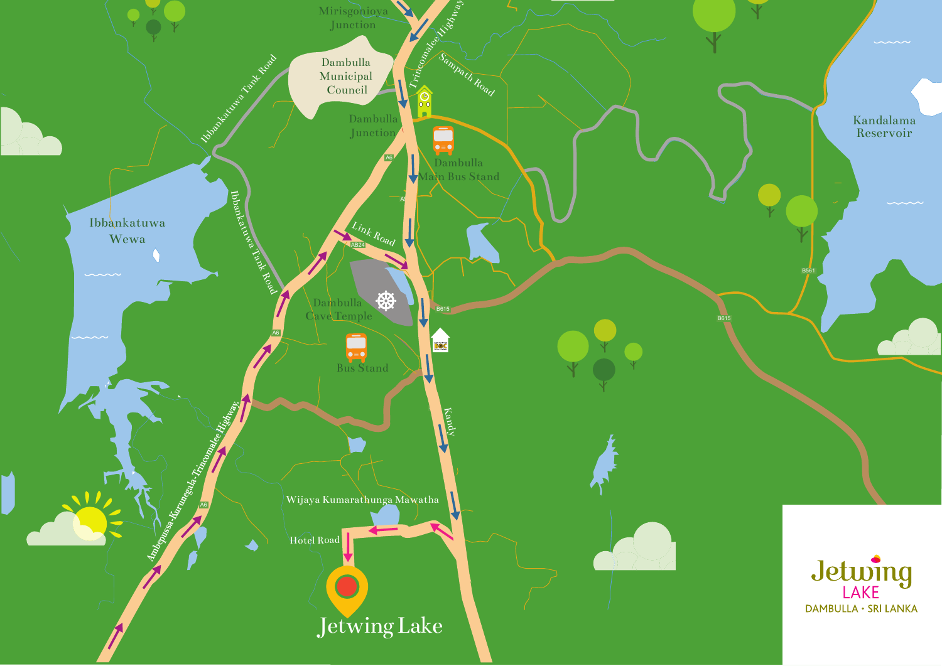